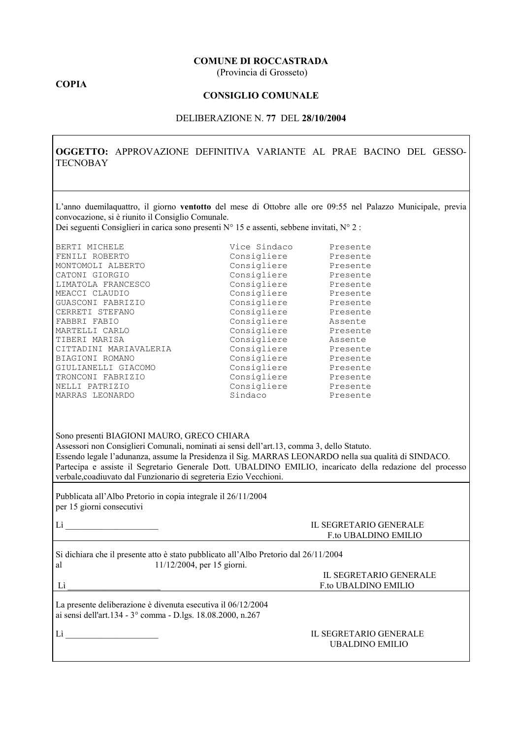### **COMUNE DI ROCCASTRADA**

(Provincia di Grosseto)

## **COPIA**

## **CONSIGLIO COMUNALE**

### DELIBERAZIONE N. 77 DEL 28/10/2004

OGGETTO: APPROVAZIONE DEFINITIVA VARIANTE AL PRAE BACINO DEL GESSO-**TECNOBAY** 

L'anno duemilaquattro, il giorno ventotto del mese di Ottobre alle ore 09:55 nel Palazzo Municipale, previa convocazione, si è riunito il Consiglio Comunale.

Dei seguenti Consiglieri in carica sono presenti N° 15 e assenti, sebbene invitati, N° 2 :

| BERTI MICHELE          | Vice Sindaco | Presente |
|------------------------|--------------|----------|
| FENILI ROBERTO         | Consigliere  | Presente |
| MONTOMOLI ALBERTO      | Consigliere  | Presente |
| CATONI GIORGIO         | Consigliere  | Presente |
| LIMATOLA FRANCESCO     | Consigliere  | Presente |
| MEACCI CLAUDIO         | Consigliere  | Presente |
| GUASCONI FABRIZIO      | Consigliere  | Presente |
| CERRETI STEFANO        | Consigliere  | Presente |
| FABBRI FABIO           | Consigliere  | Assente  |
| MARTELLI CARLO         | Consigliere  | Presente |
| TIBERI MARISA          | Consigliere  | Assente  |
| CITTADINI MARIAVALERIA | Consigliere  | Presente |
| BIAGIONI ROMANO        | Consigliere  | Presente |
| GIULIANELLI GIACOMO    | Consigliere  | Presente |
| TRONCONI FABRIZIO      | Consigliere  | Presente |
| NELLI PATRIZIO         | Consigliere  | Presente |
| MARRAS LEONARDO        | Sindaco      | Presente |

| Sono presenti BIAGIONI MAURO, GRECO CHIARA                                                                |
|-----------------------------------------------------------------------------------------------------------|
| Assessori non Consiglieri Comunali, nominati ai sensi dell'art.13, comma 3, dello Statuto.                |
| Essendo legale l'adunanza, assume la Presidenza il Sig. MARRAS LEONARDO nella sua qualità di SINDACO.     |
| Partecipa e assiste il Segretario Generale Dott. UBALDINO EMILIO, incaricato della redazione del processo |
| verbale, coadiuvato dal Funzionario di segreteria Ezio Vecchioni.                                         |

Pubblicata all'Albo Pretorio in copia integrale il 26/11/2004 per 15 giorni consecutivi

Lì  $\qquad \qquad \qquad$ 

#### **IL SEGRETARIO GENERALE F.to UBALDINO EMILIO**

F.to UBALDINO EMILIO

IL SEGRETARIO GENERALE

Si dichiara che il presente atto è stato pubblicato all'Albo Pretorio dal 26/11/2004  $11/12/2004$ , per 15 giorni. al

Lì

La presente deliberazione è divenuta esecutiva il 06/12/2004 ai sensi dell'art.134 - 3° comma - D.lgs. 18.08.2000, n.267

 $Li$ 

#### **IL SEGRETARIO GENERALE UBALDINO EMILIO**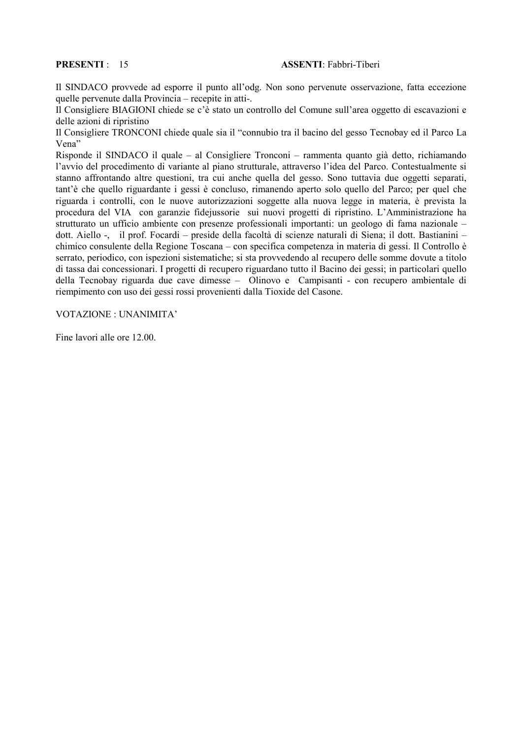## **PRESENTI: 15**

### **ASSENTI** Fabbri-Tiberi

Il SINDACO provvede ad esporre il punto all'odg. Non sono pervenute osservazione, fatta eccezione quelle pervenute dalla Provincia – recepite in atti-.

Il Consigliere BIAGIONI chiede se c'è stato un controllo del Comune sull'area oggetto di escavazioni e delle azioni di ripristino

Il Consigliere TRONCONI chiede quale sia il "connubio tra il bacino del gesso Tecnobay ed il Parco La Vena"

Risponde il SINDACO il quale – al Consigliere Tronconi – rammenta quanto già detto, richiamando l'avvio del procedimento di variante al piano strutturale, attraverso l'idea del Parco. Contestualmente si stanno affrontando altre questioni, tra cui anche quella del gesso. Sono tuttavia due oggetti separati, tant'è che quello riguardante i gessi è concluso, rimanendo aperto solo quello del Parco; per quel che riguarda i controlli, con le nuove autorizzazioni soggette alla nuova legge in materia, è prevista la procedura del VIA con garanzie fidejussorie sui nuovi progetti di ripristino. L'Amministrazione ha strutturato un ufficio ambiente con presenze professionali importanti: un geologo di fama nazionale – dott. Aiello -, il prof. Focardi – preside della facoltà di scienze naturali di Siena; il dott. Bastianini – chimico consulente della Regione Toscana – con specifica competenza in materia di gessi. Il Controllo è serrato, periodico, con ispezioni sistematiche; si sta provvedendo al recupero delle somme dovute a titolo di tassa dai concessionari. I progetti di recupero riguardano tutto il Bacino dei gessi; in particolari quello della Tecnobay riguarda due cave dimesse – Olinovo e Campisanti - con recupero ambientale di riempimento con uso dei gessi rossi provenienti dalla Tioxide del Casone.

VOTAZIONE: UNANIMITA'

Fine lavori alle ore 12.00.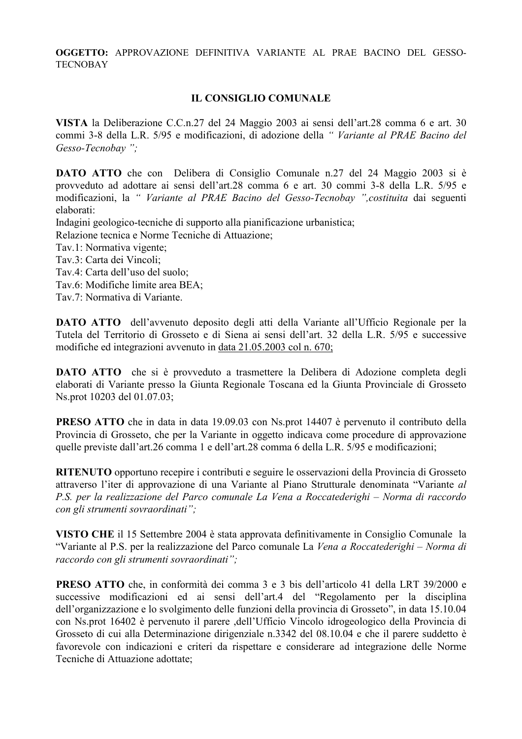OGGETTO: APPROVAZIONE DEFINITIVA VARIANTE AL PRAE BACINO DEL GESSO-**TECNOBAY** 

# **IL CONSIGLIO COMUNALE**

VISTA la Deliberazione C.C.n.27 del 24 Maggio 2003 ai sensi dell'art.28 comma 6 e art. 30 commi 3-8 della L.R. 5/95 e modificazioni, di adozione della "Variante al PRAE Bacino del Gesso-Tecnobay":

DATO ATTO che con Delibera di Consiglio Comunale n.27 del 24 Maggio 2003 si è provveduto ad adottare ai sensi dell'art.28 comma 6 e art. 30 commi 3-8 della L.R. 5/95 e modificazioni, la "Variante al PRAE Bacino del Gesso-Tecnobay ", costituita dai seguenti elaborati:

Indagini geologico-tecniche di supporto alla pianificazione urbanistica;

Relazione tecnica e Norme Tecniche di Attuazione;

- Tav.1: Normativa vigente:
- Tav.3: Carta dei Vincoli:
- Tav.4: Carta dell'uso del suolo;
- Tav.6: Modifiche limite area BEA;
- Tav.7: Normativa di Variante.

**DATO ATTO** dell'avvenuto deposito degli atti della Variante all'Ufficio Regionale per la Tutela del Territorio di Grosseto e di Siena ai sensi dell'art. 32 della L.R. 5/95 e successive modifiche ed integrazioni avvenuto in data 21.05.2003 col n. 670;

**DATO ATTO** che si è provveduto a trasmettere la Delibera di Adozione completa degli elaborati di Variante presso la Giunta Regionale Toscana ed la Giunta Provinciale di Grosseto Ns.prot 10203 del 01.07.03;

**PRESO ATTO** che in data in data 19.09.03 con Ns.prot 14407 è pervenuto il contributo della Provincia di Grosseto, che per la Variante in oggetto indicava come procedure di approvazione quelle previste dall'art.26 comma 1 e dell'art.28 comma 6 della L.R. 5/95 e modificazioni;

**RITENUTO** opportuno recepire i contributi e seguire le osservazioni della Provincia di Grosseto attraverso l'iter di approvazione di una Variante al Piano Strutturale denominata "Variante al P.S. per la realizzazione del Parco comunale La Vena a Roccatederighi – Norma di raccordo con gli strumenti sovraordinati";

VISTO CHE il 15 Settembre 2004 è stata approvata definitivamente in Consiglio Comunale la "Variante al P.S. per la realizzazione del Parco comunale La Vena a Roccatederighi – Norma di raccordo con gli strumenti sovraordinati";

**PRESO ATTO** che, in conformità dei comma 3 e 3 bis dell'articolo 41 della LRT 39/2000 e successive modificazioni ed ai sensi dell'art.4 del "Regolamento per la disciplina dell'organizzazione e lo svolgimento delle funzioni della provincia di Grosseto", in data 15.10.04 con Ns.prot 16402 è pervenuto il parere ,dell'Ufficio Vincolo idrogeologico della Provincia di Grosseto di cui alla Determinazione dirigenziale n.3342 del 08.10.04 e che il parere suddetto è favorevole con indicazioni e criteri da rispettare e considerare ad integrazione delle Norme Tecniche di Attuazione adottate;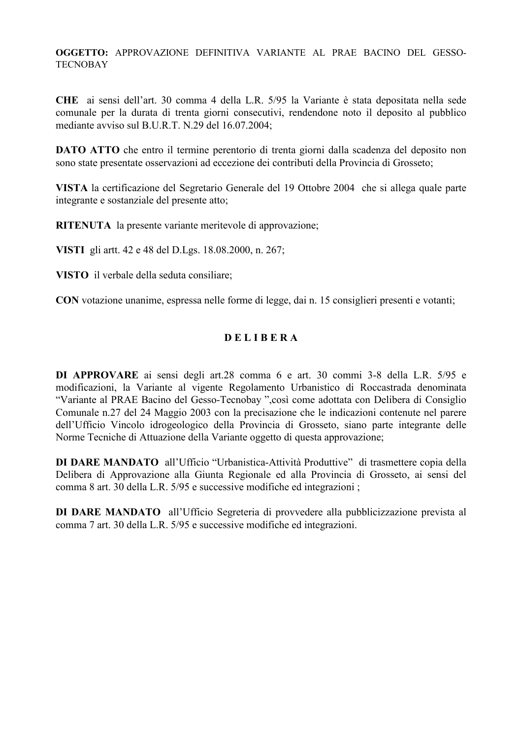OGGETTO: APPROVAZIONE DEFINITIVA VARIANTE AL PRAE BACINO DEL GESSO-**TECNOBAY** 

CHE ai sensi dell'art. 30 comma 4 della L.R. 5/95 la Variante è stata depositata nella sede comunale per la durata di trenta giorni consecutivi, rendendone noto il deposito al pubblico mediante avviso sul B.U.R.T. N.29 del 16.07.2004;

**DATO ATTO** che entro il termine perentorio di trenta giorni dalla scadenza del deposito non sono state presentate osservazioni ad eccezione dei contributi della Provincia di Grosseto:

VISTA la certificazione del Segretario Generale del 19 Ottobre 2004 che si allega quale parte integrante e sostanziale del presente atto:

**RITENUTA** la presente variante meritevole di approvazione;

VISTI gli artt. 42 e 48 del D.Lgs. 18.08.2000, n. 267;

VISTO il verbale della seduta consiliare;

CON votazione unanime, espressa nelle forme di legge, dai n. 15 consiglieri presenti e votanti;

# **DELIBERA**

DI APPROVARE ai sensi degli art.28 comma 6 e art. 30 commi 3-8 della L.R. 5/95 e modificazioni, la Variante al vigente Regolamento Urbanistico di Roccastrada denominata "Variante al PRAE Bacino del Gesso-Tecnobay", così come adottata con Delibera di Consiglio Comunale n.27 del 24 Maggio 2003 con la precisazione che le indicazioni contenute nel parere dell'Ufficio Vincolo idrogeologico della Provincia di Grosseto, siano parte integrante delle Norme Tecniche di Attuazione della Variante oggetto di questa approvazione;

DI DARE MANDATO all'Ufficio "Urbanistica-Attività Produttive" di trasmettere copia della Delibera di Approvazione alla Giunta Regionale ed alla Provincia di Grosseto, ai sensi del comma 8 art. 30 della L.R. 5/95 e successive modifiche ed integrazioni;

DI DARE MANDATO all'Ufficio Segreteria di provvedere alla pubblicizzazione prevista al comma 7 art. 30 della L.R. 5/95 e successive modifiche ed integrazioni.